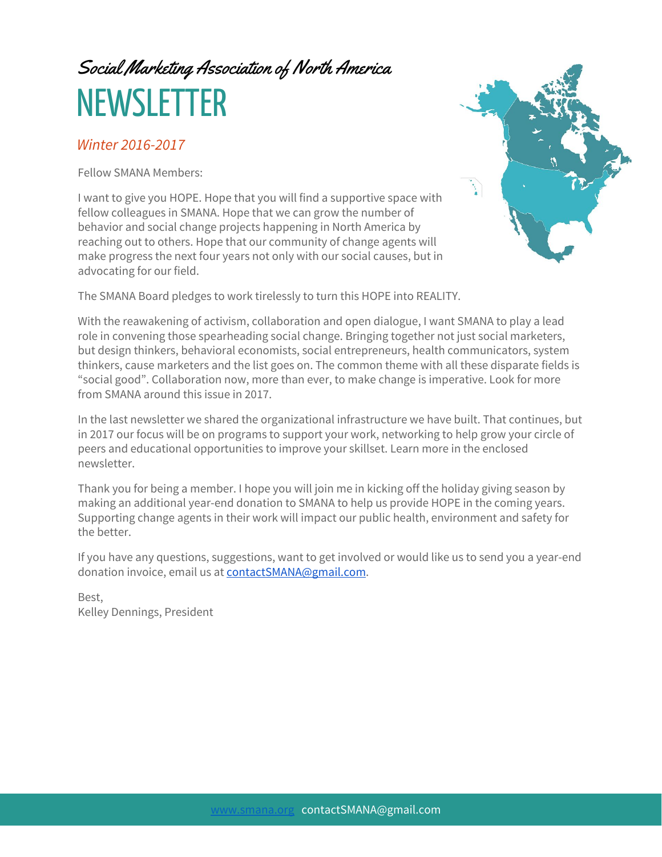# Social Marketing Association of North America **NEWSLETTER**

#### Winter 2016-2017

Fellow SMANA Members:

I want to give you HOPE. Hope that you will find a supportive space with fellow colleagues in SMANA. Hope that we can grow the number of behavior and social change projects happening in North America by reaching out to others. Hope that our community of change agents will make progress the next four years not only with our social causes, but in advocating for our field.



The SMANA Board pledges to work tirelessly to turn this HOPE into REALITY.

With the reawakening of activism, collaboration and open dialogue, I want SMANA to play a lead role in convening those spearheading social change. Bringing together not just social marketers, but design thinkers, behavioral economists, social entrepreneurs, health communicators, system thinkers, cause marketers and the list goes on. The common theme with all these disparate fields is "social good". Collaboration now, more than ever, to make change is imperative. Look for more from SMANA around this issue in 2017.

In the last newsletter we shared the organizational infrastructure we have built. That continues, but in 2017 our focus will be on programs to support your work, networking to help grow your circle of peers and educational opportunities to improve your skillset. Learn more in the enclosed newsletter.

Thank you for being a member. I hope you will join me in kicking off the holiday giving season by making an additional year-end donation to SMANA to help us provide HOPE in the coming years. Supporting change agents in their work will impact our public health, environment and safety for the better.

If you have any questions, suggestions, want to get involved or would like us to send you a year-end donation invoice, email us at [contactSMANA@gmail.com.](mailto:contactSMANA@gmail.com)

Best, Kelley Dennings, President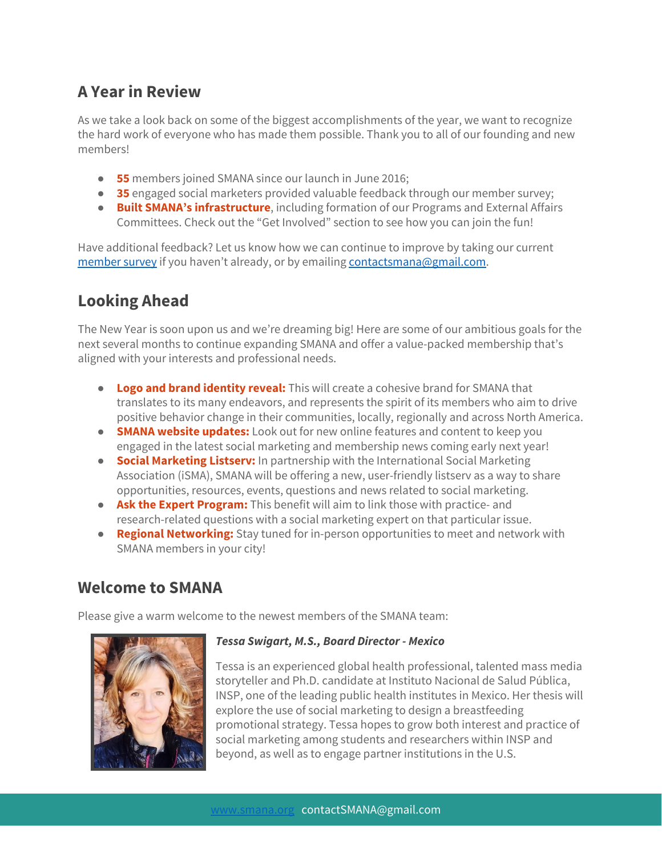## **A Year in Review**

As we take a look back on some of the biggest accomplishments of the year, we want to recognize the hard work of everyone who has made them possible. Thank you to all of our founding and new members!

- **55** members joined SMANA since our launch in June 2016;
- **35** engaged social marketers provided valuable feedback through our member survey;
- **Built SMANA's infrastructure**, including formation of our Programs and External Affairs Committees. Check out the "Get Involved" section to see how you can join the fun!

Have additional feedback? Let us know how we can continue to improve by taking our current [member survey](https://www.surveymonkey.com/r/SMANA) if you haven't already, or by emailing [contactsmana@gmail.com.](mailto:contactsmana@gmail.com)

# **Looking Ahead**

The New Year is soon upon us and we're dreaming big! Here are some of our ambitious goals for the next several months to continue expanding SMANA and offer a value-packed membership that's aligned with your interests and professional needs.

- **Logo and brand identity reveal:** This will create a cohesive brand for SMANA that translates to its many endeavors, and represents the spirit of its members who aim to drive positive behavior change in their communities, locally, regionally and across North America.
- **SMANA website updates:** Look out for new online features and content to keep you engaged in the latest social marketing and membership news coming early next year!
- **Social Marketing Listserv:** In partnership with the International Social Marketing Association (iSMA), SMANA will be offering a new, user-friendly listserv as a way to share opportunities, resources, events, questions and news related to social marketing.
- **Ask the Expert Program:** This benefit will aim to link those with practice- and research-related questions with a social marketing expert on that particular issue.
- **Regional Networking:** Stay tuned for in-person opportunities to meet and network with SMANA members in your city!

### **Welcome to SMANA**

Please give a warm welcome to the newest members of the SMANA team:



#### **Tessa Swigart, M.S., Board Director - Mexico**

Tessa is an experienced global health professional, talented mass media storyteller and Ph.D. candidate at Instituto Nacional de Salud Pública, INSP, one of the leading public health institutes in Mexico. Her thesis will explore the use of social marketing to design a breastfeeding promotional strategy. Tessa hopes to grow both interest and practice of social marketing among students and researchers within INSP and beyond, as well as to engage partner institutions in the U.S.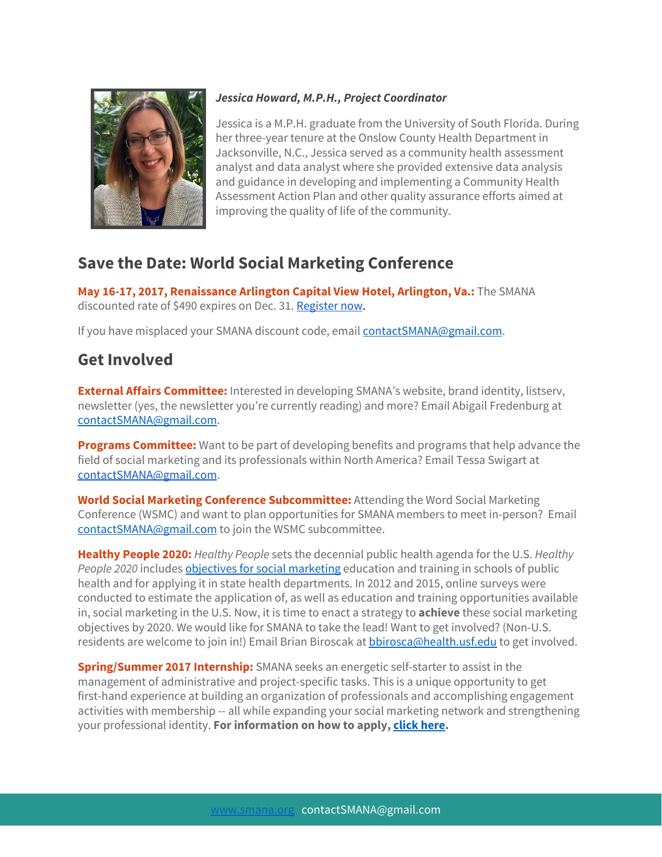

#### **Jessica Howard, M.P.H., Project Coordinator**

Jessica is a M.P.H. graduate from the University of South Florida. During her three-year tenure at the Onslow County Health Department in Jacksonville, N.C., Jessica served as a community health assessment analyst and data analyst where she provided extensive data analysis and guidance in developing and implementing a Community Health Assessment Action Plan and other quality assurance efforts aimed at improving the quality of life of the community.

# **Save the Date: World Social Marketing Conference**

May 16-17, 2017, Renaissance Arlington Capital View Hotel, Arlington, Va.: The SMANA discounted rate of \$490 expires on Dec. 31. [Register](https://fuseevents.eventsair.com/wsmc2017/registration/Site/Register) no[w.](https://fuseevents.eventsair.com/wsmc2017/registration/Site/Register)

If you have misplaced your SMANA discount code, email [contactSMANA@gmail.com.](mailto:contactSMANA@gmail.com)

## **Get Involved**

**External Affairs Committee:** Interested in developing SMANA's website, brand identity, listserv, newsletter (yes, the newsletter you're currently reading) and more? Email Abigail Fredenburg at [contactSMANA@gmail.com.](mailto:contactSMANA@gmail.com)

**Programs Committee:** Want to be part of developing benefits and programs that help advance the field of social marketing and its professionals within North America? Email Tessa Swigart at [contactSMANA@gmail.com.](mailto:contactSMANA@gmail.com)

**World Social Marketing Conference Subcommittee:** Attending the Word Social Marketing Conference (WSMC) and want to plan opportunities for SMANA members to meet in-person? Email [contactSMANA@gmail.com](mailto:contactSMANA@gmail.com) to join the WSMC subcommittee.

**Healthy People 2020:** Healthy People sets the decennial public health agenda for the U.S. Healthy People 2020 includes objectives for social [marketing](https://www.healthypeople.gov/2020/topics-objectives/topic/health-communication-and-health-information-technology/objectives) education and training in schools of public health and for applying it in state health departments. In 2012 and 2015, online surveys were conducted to estimate the application of, as well as education and training opportunities available in, social marketing in the U.S. Now, it is time to enact a strategy to **achieve** these social marketing objectives by 2020. We would like for SMANA to take the lead! Want to get involved? (Non-U.S. residents are welcome to join in!) Email Brian Biroscak at [bbirosca@health.usf.edu](mailto:bbirosca@health.usf.edu) to get involved.

**Spring/Summer 2017 Internship:** SMANA seeks an energetic self-starter to assist in the management of administrative and project-specific tasks. This is a unique opportunity to get first-hand experience at building an organization of professionals and accomplishing engagement activities with membership -- all while expanding your social marketing network and strengthening your professional identity. **For information on how to apply, c lick [here](http://smana.org/assets/SMANAInternship17635.pdf).**